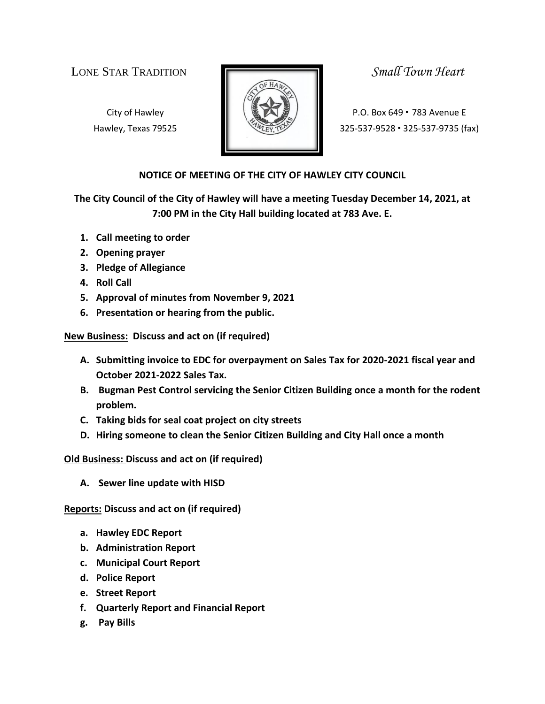LONE STAR TRADITION *Small Town Heart*



City of Hawley **Property P.O. Box 649 • 783 Avenue E** Hawley, Texas 79525 **325-537-9528 · 325-537-9528 · 325-537-9735** (fax)

## **NOTICE OF MEETING OF THE CITY OF HAWLEY CITY COUNCIL**

**The City Council of the City of Hawley will have a meeting Tuesday December 14, 2021, at 7:00 PM in the City Hall building located at 783 Ave. E.**

- **1. Call meeting to order**
- **2. Opening prayer**
- **3. Pledge of Allegiance**
- **4. Roll Call**
- **5. Approval of minutes from November 9, 2021**
- **6. Presentation or hearing from the public.**

**New Business: Discuss and act on (if required)**

- **A. Submitting invoice to EDC for overpayment on Sales Tax for 2020-2021 fiscal year and October 2021-2022 Sales Tax.**
- **B. Bugman Pest Control servicing the Senior Citizen Building once a month for the rodent problem.**
- **C. Taking bids for seal coat project on city streets**
- **D. Hiring someone to clean the Senior Citizen Building and City Hall once a month**

**Old Business: Discuss and act on (if required)**

**A. Sewer line update with HISD**

**Reports: Discuss and act on (if required)**

- **a. Hawley EDC Report**
- **b. Administration Report**
- **c. Municipal Court Report**
- **d. Police Report**
- **e. Street Report**
- **f. Quarterly Report and Financial Report**
- **g. Pay Bills**